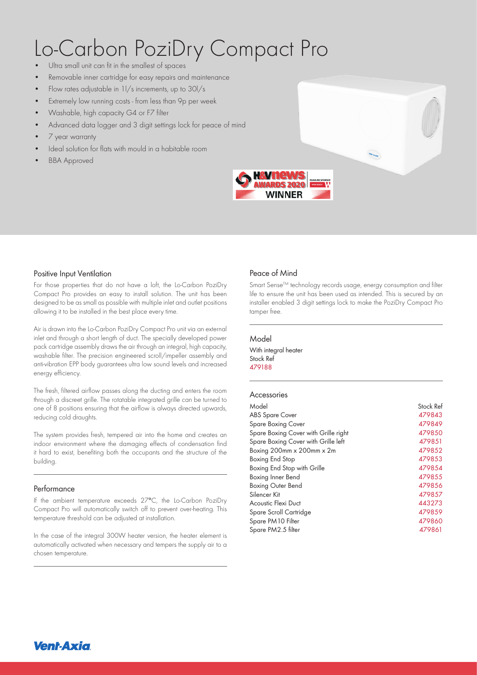# Lo-Carbon PoziDry Compact Pro

- Ultra small unit can fit in the smallest of spaces
- Removable inner cartridge for easy repairs and maintenance
- Flow rates adjustable in 1l/s increments, up to 30l/s
- Extremely low running costs from less than 9p per week
- Washable, high capacity G4 or F7 filter
- Advanced data logger and 3 digit settings lock for peace of mind
- 7 year warranty
- Ideal solution for flats with mould in a habitable room
- BBA Approved



#### Positive Input Ventilation

For those properties that do not have a loft, the Lo-Carbon PoziDry Compact Pro provides an easy to install solution. The unit has been designed to be as small as possible with multiple inlet and outlet positions allowing it to be installed in the best place every time.

Air is drawn into the Lo-Carbon PoziDry Compact Pro unit via an external inlet and through a short length of duct. The specially developed power pack cartridge assembly draws the air through an integral, high capacity, washable filter. The precision engineered scroll/impeller assembly and anti-vibration EPP body guarantees ultra low sound levels and increased energy efficiency.

The fresh, filtered airflow passes along the ducting and enters the room through a discreet grille. The rotatable integrated grille can be turned to one of 8 positions ensuring that the airflow is always directed upwards, reducing cold draughts.

The system provides fresh, tempered air into the home and creates an indoor environment where the damaging effects of condensation find it hard to exist, benefiting both the occupants and the structure of the building.

#### Performance

If the ambient temperature exceeds 27°C, the Lo-Carbon PoziDry Compact Pro will automatically switch off to prevent over-heating. This temperature threshold can be adjusted at installation.

In the case of the integral 300W heater version, the heater element is automatically activated when necessary and tempers the supply air to a chosen temperature.

### Peace of Mind

Smart Sense™ technology records usage, energy consumption and filter life to ensure the unit has been used as intended. This is secured by an installer enabled 3 digit settings lock to make the PoziDry Compact Pro tamper free.

#### Model

With integral heater Stock Ref 479188 **600.741 1200.741 1200.741 1200.741 1200.741 1200.741 1200.741 1200.741 1200.741 1200.741 1200.** 

#### Accessories

| Model                                | Stock Ref |
|--------------------------------------|-----------|
| <b>ABS Spare Cover</b>               | 479843    |
| Spare Boxing Cover                   | 479849    |
| Spare Boxing Cover with Grille right | 479850    |
| Spare Boxing Cover with Grille left  | 479851    |
| Boxing $200$ mm $x 200$ mm $x 2m$    | 479852    |
| Boxing End Stop                      | 479853    |
| Boxing End Stop with Grille          | 479854    |
| Boxing Inner Bend                    | 479855    |
| <b>Boxing Outer Bend</b>             | 479856    |
| Silencer Kit                         | 479857    |
| Acoustic Flexi Duct                  | 443273    |
| Spare Scroll Cartridge               | 479859    |
| Spare PM10 Filter                    | 479860    |
| Spare PM2.5 filter                   | 479861    |